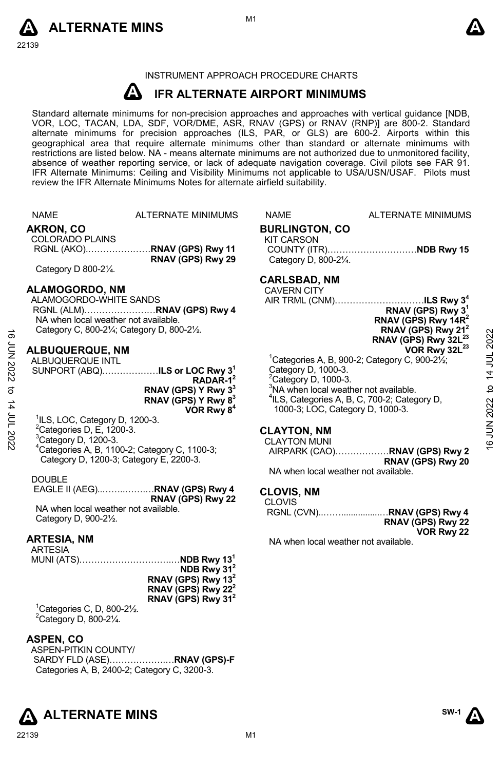



# INSTRUMENT APPROACH PROCEDURE CHARTS

#### **A IFR ALTERNATE AIRPORT MINIMUMS**

Standard alternate minimums for non-precision approaches and approaches with vertical guidance [NDB, VOR, LOC, TACAN, LDA, SDF, VOR/DME, ASR, RNAV (GPS) or RNAV (RNP)] are 800-2. Standard alternate minimums for precision approaches (ILS, PAR, or GLS) are 600-2. Airports within this geographical area that require alternate minimums other than standard or alternate minimums with restrictions are listed below. NA - means alternate minimums are not authorized due to unmonitored facility, absence of weather reporting service, or lack of adequate navigation coverage. Civil pilots see FAR 91. IFR Alternate Minimums: Ceiling and Visibility Minimums not applicable to USA/USN/USAF. Pilots must review the IFR Alternate Minimums Notes for alternate airfield suitability.

|                 | <b>NAME</b>                                              | ALTERNATE MINIMUMS                                        | <b>NAME</b>                                       | <b>ALTERNATE MINIMUMS</b>                                              |              |
|-----------------|----------------------------------------------------------|-----------------------------------------------------------|---------------------------------------------------|------------------------------------------------------------------------|--------------|
|                 | AKRON, CO<br><b>COLORADO PLAINS</b>                      |                                                           | <b>BURLINGTON, CO</b><br><b>KIT CARSON</b>        |                                                                        |              |
|                 |                                                          |                                                           |                                                   | COUNTY (ITR)NDB Rwy 15                                                 |              |
|                 |                                                          | RNAV (GPS) Rwy 29                                         | Category D, 800-21/4.                             |                                                                        |              |
|                 | Category D 800-21/4.                                     |                                                           |                                                   |                                                                        |              |
|                 |                                                          |                                                           | <b>CARLSBAD, NM</b>                               |                                                                        |              |
|                 | <b>ALAMOGORDO, NM</b>                                    |                                                           | <b>CAVERN CITY</b>                                |                                                                        |              |
|                 | ALAMOGORDO-WHITE SANDS                                   |                                                           |                                                   | AIR TRML (CNM)ILS Rwy 3 <sup>4</sup>                                   |              |
|                 |                                                          |                                                           |                                                   | RNAV (GPS) Rwy 3 <sup>1</sup>                                          |              |
|                 | NA when local weather not available.                     |                                                           |                                                   | RNAV (GPS) Rwy 14R <sup>2</sup>                                        |              |
| ಕಾ              | Category C, 800-21/ <sub>4</sub> ; Category D, 800-21/2. |                                                           |                                                   | RNAV (GPS) Rwy 21 <sup>2</sup>                                         |              |
|                 |                                                          |                                                           |                                                   | RNAV (GPS) Rwy 32L <sup>23</sup>                                       | 2022         |
| <b>JUN 2022</b> | <b>ALBUQUERQUE, NM</b>                                   |                                                           |                                                   | VOR Rwy 32L <sup>23</sup>                                              |              |
|                 | ALBUQUERQUE INTL                                         |                                                           | Category D, 1000-3.                               | <sup>1</sup> Categories A, B, 900-2; Category C, 900-2 $\frac{1}{2}$ ; | 14 JUL       |
|                 |                                                          | SUNPORT (ABQ)ILS or LOC Rwy 3 <sup>1</sup><br>$RADAR-12$  | $2$ Category D, 1000-3.                           |                                                                        |              |
|                 |                                                          |                                                           | <sup>3</sup> NA when local weather not available. |                                                                        | $\mathbf{a}$ |
| ಕ               |                                                          | RNAV (GPS) Y Rwy 3 <sup>3</sup>                           |                                                   | <sup>4</sup> ILS, Categories A, B, C, 700-2; Category D,               |              |
|                 |                                                          | RNAV (GPS) Y Rwy 8 <sup>3</sup><br>VOR Rwy 8 <sup>4</sup> | 1000-3; LOC, Category D, 1000-3.                  |                                                                        | 2022         |
| 14 JUL 2022     | $1ILS$ , LOC, Category D, 1200-3.                        |                                                           |                                                   |                                                                        |              |
|                 | ${}^{2}$ Categories D, E, 1200-3.                        |                                                           |                                                   |                                                                        | i<br>Su      |
|                 | <sup>3</sup> Category D, 1200-3.                         |                                                           | <b>CLAYTON, NM</b>                                |                                                                        |              |
|                 |                                                          | <sup>4</sup> Categories A, B, 1100-2; Category C, 1100-3; | <b>CLAYTON MUNI</b>                               |                                                                        | é            |
|                 | Category D, 1200-3; Category E, 2200-3.                  |                                                           |                                                   | AIRPARK (CAO)RNAV (GPS) Rwy 2                                          |              |
|                 |                                                          |                                                           | NA when local weather not available.              | RNAV (GPS) Rwy 20                                                      |              |
|                 | <b>DOUBLE</b>                                            |                                                           |                                                   |                                                                        |              |
|                 |                                                          | EAGLE II (AEG)RNAV (GPS) Rwy 4                            | <b>CLOVIS, NM</b>                                 |                                                                        |              |
|                 |                                                          | RNAV (GPS) Rwy 22                                         | <b>CLOVIS</b>                                     |                                                                        |              |
|                 | NA when local weather not available.                     |                                                           |                                                   |                                                                        |              |
|                 | Category D, 900-21/2.                                    |                                                           |                                                   | RNAV (GPS) Rwy 22                                                      |              |
|                 |                                                          |                                                           |                                                   | VOR Rwy 22                                                             |              |
|                 | <b>ARTESIA, NM</b>                                       |                                                           | NA when local weather not available.              |                                                                        |              |
|                 | ARTESIA                                                  |                                                           |                                                   |                                                                        |              |
|                 |                                                          |                                                           |                                                   |                                                                        |              |
|                 |                                                          | NDB Rwy $312$                                             |                                                   |                                                                        |              |
|                 |                                                          | RNAV (GPS) Rwy 13 <sup>2</sup>                            |                                                   |                                                                        |              |
|                 |                                                          | RNAV (GPS) Rwy 22 <sup>2</sup>                            |                                                   |                                                                        |              |
|                 |                                                          | RNAV (GPS) Rwy 31 <sup>2</sup>                            |                                                   |                                                                        |              |
|                 | <sup>1</sup> Categories C, D, 800-2 $\frac{1}{2}$ .      |                                                           |                                                   |                                                                        |              |
|                 | $2$ Category D, 800-2 $\frac{1}{4}$ .                    |                                                           |                                                   |                                                                        |              |
|                 |                                                          |                                                           |                                                   |                                                                        |              |
|                 | <b>ASPEN, CO</b>                                         |                                                           |                                                   |                                                                        |              |
|                 | ASPEN-PITKIN COUNTY/                                     |                                                           |                                                   |                                                                        |              |
|                 |                                                          | SARDY FLD (ASE)RNAV (GPS)-F                               |                                                   |                                                                        |              |
|                 | Categories A, B, 2400-2; Category C, 3200-3.             |                                                           |                                                   |                                                                        |              |
|                 |                                                          |                                                           |                                                   |                                                                        |              |
|                 |                                                          |                                                           |                                                   |                                                                        |              |
|                 |                                                          |                                                           |                                                   |                                                                        |              |



**ALTERNATE MINS** 

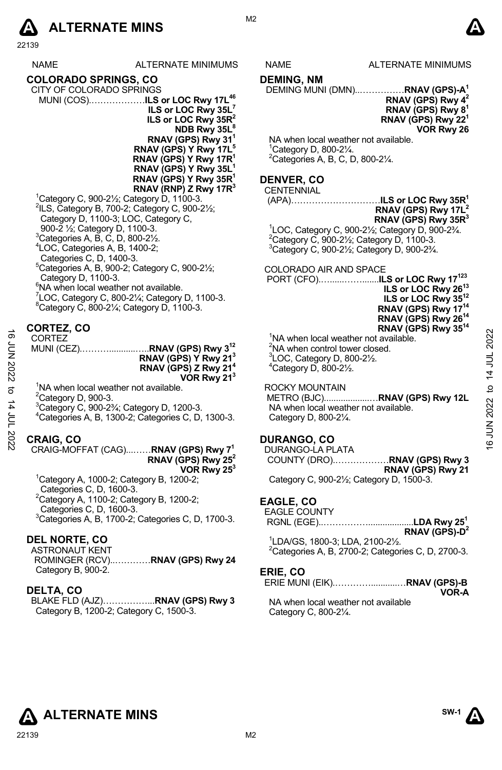# **A** ALTERNATE MINS  $\qquad \qquad \blacksquare$

22139

| <b>NAME</b>                                                                                     | ALTERNATE MINIMUMS                                                  |
|-------------------------------------------------------------------------------------------------|---------------------------------------------------------------------|
| <b>COLORADO SPRINGS, CO</b>                                                                     |                                                                     |
| CITY OF COLORADO SPRINGS                                                                        |                                                                     |
|                                                                                                 | MUNI (COS)ILS or LOC Rwy 17L <sup>46</sup>                          |
|                                                                                                 | ILS or LOC Rwy $35L^7$                                              |
|                                                                                                 | ILS or LOC Rwy 35R <sup>2</sup>                                     |
|                                                                                                 | NDB Rwy 35L <sup>8</sup>                                            |
|                                                                                                 | RNAV (GPS) Rwy 31 <sup>1</sup><br>RNAV (GPS) Y Rwy 17L <sup>5</sup> |
|                                                                                                 | $RNAV$ (GPS) Y Rwy 17 $R^1$                                         |
|                                                                                                 | RNAV (GPS) Y Rwy 35L <sup>1</sup>                                   |
|                                                                                                 | $RNAV$ (GPS) Y Rwy 35R <sup>1</sup>                                 |
|                                                                                                 | RNAV (RNP) Z Rwy 17 $R^3$                                           |
|                                                                                                 | <sup>1</sup> Category C, 900-2 $\frac{1}{2}$ ; Category D, 1100-3.  |
|                                                                                                 | $2$ ILS, Category B, 700-2; Category C, 900-2 $\frac{1}{2}$ ;       |
|                                                                                                 | Category D, 1100-3; LOC, Category C.                                |
| 900-2 1/ <sub>2</sub> ; Category D, 1100-3.<br>$3$ Categories A, B, C, D, 800-2 $\frac{1}{2}$ . |                                                                     |
| <sup>4</sup> LOC, Categories A, B, 1400-2;                                                      |                                                                     |
| Categories C, D, 1400-3.                                                                        |                                                                     |
|                                                                                                 | $5$ Categories A, B, 900-2; Category C, 900-2 $\frac{1}{2}$ ;       |
| Category D, 1100-3.                                                                             |                                                                     |
| <sup>6</sup> NA when local weather not available.                                               |                                                                     |
|                                                                                                 | 'LOC, Category C, 800-21/4; Category D, 1100-3.                     |
|                                                                                                 | <sup>8</sup> Category C, 800-21/ <sub>4</sub> ; Category D, 1100-3. |

# **CORTEZ, CO**

|        | –––––––––––                                                                      | <b>INVAY IOI OF IWY JU</b>                        | $\sim$         |
|--------|----------------------------------------------------------------------------------|---------------------------------------------------|----------------|
| ಹೆ     | <b>CORTEZ</b>                                                                    | <sup>1</sup> NA when local weather not available. | 202            |
| ξ<br>Σ | MUNI (CEZ)RNAV (GPS) Rwy 3 <sup>12</sup>                                         | <sup>2</sup> NA when control tower closed.        |                |
|        | RNAV (GPS) Y Rwy 21 <sup>3</sup>                                                 | ${}^{3}$ LOC, Category D, 800-2 $\frac{1}{2}$ .   |                |
|        | RNAV (GPS) Z Rwy 21 <sup>4</sup>                                                 | $4$ Category D, 800-2 $\frac{1}{2}$ .             |                |
|        | VOR Rwy 21 <sup>3</sup>                                                          |                                                   | $\overline{4}$ |
| ನ      | <sup>1</sup> NA when local weather not available.                                | ROCKY MOUNTAIN                                    | $\mathsf{D}$   |
|        | <sup>2</sup> Category D, 900-3.                                                  | METRO (BJC)RNAV (GPS) Rwy 12L                     |                |
| 4      | <sup>3</sup> Category C, 900-2 <sup>3</sup> / <sub>4</sub> ; Category D, 1200-3. | NA when local weather not available.              | 2022           |
| ξ      | <sup>4</sup> Categories A, B, 1300-2; Categories C, D, 1300-3.                   | Category D, 800-21/4.                             |                |
|        |                                                                                  |                                                   | ≦              |
| 2022   | <b>CRAIG, CO</b>                                                                 | DURANGO, CO                                       |                |
|        |                                                                                  |                                                   | ဖ              |
|        | <b>DNAV (CDS)</b> $P_{unt}$ 7 <sup>1</sup><br>CRAIC MOEEAT (CAC)                 | DUPANCO LA DI ATA                                 |                |

- $2$ Category D, 900-3.
- 
- 3 Category C, 900-2¾; Category D, 1200-3.
- 4 Categories A, B, 1300-2; Categories C, D, 1300-3.

#### **CRAIG, CO**

#### CRAIG-MOFFAT (CAG)...……**RNAV (GPS) Rwy 71 RNAV (GPS) Rwy 252 VOR Rwy 253**

1 Category A, 1000-2; Category B, 1200-2; Categories C, D, 1600-3.  $2$ Category A, 1100-2; Category B, 1200-2; Categories C, D, 1600-3. 3 Categories A, B, 1700-2; Categories C, D, 1700-3.

#### **DEL NORTE, CO**

ASTRONAUT KENT

ROMINGER (RCV)..…………**RNAV (GPS) Rwy 24**  Category B, 900-2.

#### **DELTA, CO**

BLAKE FLD (AJZ)……………...**RNAV (GPS) Rwy 3** Category B, 1200-2; Category C, 1500-3.

# NAME ALTERNATE MINIMUMS

#### **DEMING, NM**

DEMING MUNI (DMN)..……………**RNAV (GPS)-A1** 

#### **RNAV (GPS) Rwy 42 RNAV (GPS) Rwy 81 RNAV (GPS) Rwy 221 VOR Rwy 26**

NA when local weather not available. 1 Category D, 800-2¼. 2 Categories A, B, C, D, 800-2¼.

#### **DENVER, CO**

#### **CENTENNIAL**

(APA)…………………………**ILS or LOC Rwy 35R1 RNAV (GPS) Rwy 17L2 RNAV (GPS) Rwy 35R3** 

1 LOC, Category C, 900-2½; Category D, 900-2¾. 2 Category C, 900-2½; Category D, 1100-3. 3 Category C, 900-2½; Category D, 900-2¾.

COLORADO AIR AND SPACE

 PORT (CFO).…......…….......**ILS or LOC Rwy 17123 ILS or LOC Rwy 2613 ILS or LOC Rwy 3512 RNAV (GPS) Rwy 1714 RNAV (GPS) Rwy 2614 RNAV (GPS) Rwy 3514**  <sup>1</sup>NA when local weather not available.

#### ROCKY MOUNTAIN

#### **DURANGO, CO**

DURANGO-LA PLATA COUNTY (DRO).………………**RNAV (GPS) Rwy 3 RNAV (GPS) Rwy 21**  Category C, 900-2½; Category D, 1500-3.

#### **EAGLE, CO**

- EAGLE COUNTY
- RGNL (EGE)..……………...................**LDA Rwy 251 RNAV (GPS)-D2**
- 1 LDA/GS, 1800-3; LDA, 2100-2½.  $2$ Categories A, B, 2700-2; Categories C, D, 2700-3.

#### **ERIE, CO**

ERIE MUNI (EIK).…………...........…**RNAV (GPS)-B VOR-A**

NA when local weather not available Category C, 800-2¼.





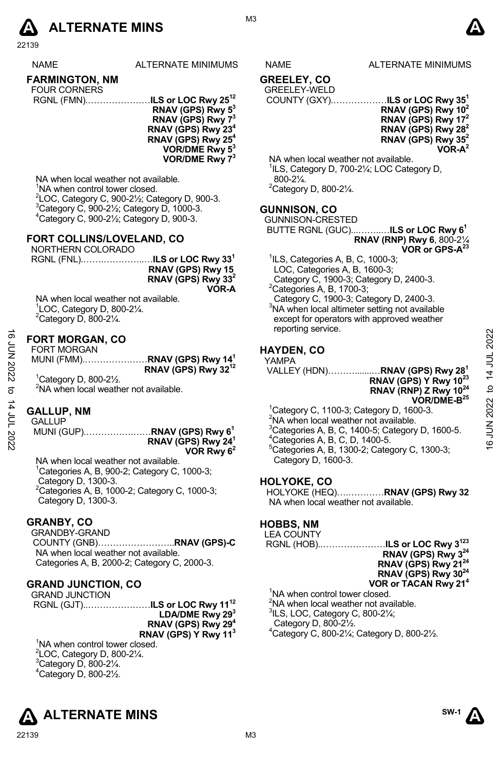

22139

|  | л | ٠ | л. |  |
|--|---|---|----|--|

NAME ALTERNATE MINIMUMS NAME ALTERNATE MINIMUMS

### **FARMINGTON, NM**

| <b>FOUR CORNERS</b> |                                           |
|---------------------|-------------------------------------------|
|                     | RGNL (FMN)ILS or LOC Rwy 25 <sup>12</sup> |

**RNAV (GPS) Rwy 53 RNAV (GPS) Rwy 73 RNAV (GPS) Rwy 234 RNAV (GPS) Rwy 254 VOR/DME Rwy 53 VOR/DME Rwy 73**

NA when local weather not available. <sup>1</sup>NA when control tower closed.  $^{2}$ LOC, Category C, 900-21/<sub>2</sub>; Category D, 900-3.  $3$ Category C, 900-2 $\frac{1}{2}$ ; Category D, 1000-3. 4 Category C, 900-2½; Category D, 900-3.

#### **FORT COLLINS/LOVELAND, CO**

NORTHERN COLORADO

| RNAV (GPS) Rwy 15              |
|--------------------------------|
| RNAV (GPS) Rwy 33 <sup>2</sup> |
| VOR-A                          |

NA when local weather not available. 1 LOC, Category D, 800-2¼.  $2$ Category D, 800-2 $\frac{1}{4}$ .

#### **FORT MORGAN, CO**

|         | <b>FORT MORGAN</b> |                                          |
|---------|--------------------|------------------------------------------|
|         |                    | MUNI (FMM)RNAV (GPS) Rwy 14 <sup>1</sup> |
|         |                    | RNAV (GPS) Rwy 32 <sup>12</sup>          |
| $1 - 1$ | $R$ $0.000$ $0.11$ |                                          |

1 Category D, 800-2½. <sup>2</sup>NA when local weather not available.

#### **GALLUP, NM**

GALLUP

 MUNI (GUP).…………….……**RNAV (GPS) Rwy 61 RNAV (GPS) Rwy 241 VOR Rwy 62** 

NA when local weather not available.  ${}^{1}$ Categories A, B, 900-2; Category C, 1000-3; Category D, 1300-3. 2 Categories A, B, 1000-2; Category C, 1000-3; Category D, 1300-3.

#### **GRANBY, CO**

GRANDBY-GRAND COUNTY (GNB)……………………..**RNAV (GPS)-C** NA when local weather not available. Categories A, B, 2000-2; Category C, 2000-3.

#### **GRAND JUNCTION, CO**

GRAND JUNCTION RGNL (GJT)..…………………**ILS or LOC Rwy 1112 LDA/DME Rwy 293 RNAV (GPS) Rwy 294 RNAV (GPS) Y Rwy 113**

<sup>1</sup>NA when control tower closed. LOC, Category D, 800-2 $\frac{1}{4}$ . Category D, 800-2 $\frac{1}{4}$ . Category D, 800-2 $\frac{1}{2}$ .





#### **GREELEY, CO**  GREELEY-WELD

# COUNTY (GXY).………………**ILS or LOC Rwy 351**

**RNAV (GPS) Rwy 102 RNAV (GPS) Rwy 172 RNAV (GPS) Rwy 282 RNAV (GPS) Rwy 352** 

**VOR-A2** 

NA when local weather not available. <sup>1</sup>ILS, Category D, 700-21/<sub>4</sub>; LOC Category D, 800-2¼. 2 Category D, 800-2¼.

#### **GUNNISON, CO**

GUNNISON-CRESTED BUTTE RGNL (GUC)...……..…**ILS or LOC Rwy 61 RNAV (RNP) Rwy 6**, 800-2¼

**VOR or GPS-A23**

- 1 ILS, Categories A, B, C, 1000-3;
- LOC, Categories A, B, 1600-3;

 Category C, 1900-3; Category D, 2400-3.  ${}^{2}$ Categories A, B, 1700-3;

Category C, 1900-3; Category D, 2400-3.

3 NA when local altimeter setting not available except for operators with approved weather reporting service.

#### **HAYDEN, CO**

YAMPA VALLEY (HDN)……….......…**RNAV (GPS) Rwy 281 RNAV (GPS) Y Rwy 1023 RNAV (RNP) Z Rwy 1024 VOR/DME-B25** 1 Category C, 1100-3; Category D, 1600-3.  $EVALUATE: **1000 1000 1000 1000 1000 1000 1000 1000 1000 1000 1000 1000 1000 1000 1000 1000 1000 1000 1000 1000 1000**$ 

2 NA when local weather not available. <sup>3</sup>Categories A, B, C, 1400-5; Category D, 1600-5.<br><sup>4</sup>Categories A, B, C, D, 1400-5. 5 Categories A, B, 1300-2; Category C, 1300-3; Category D, 1600-3.

#### **HOLYOKE, CO**

HOLYOKE (HEQ)….…………**RNAV (GPS) Rwy 32** NA when local weather not available.

### **HOBBS, NM**

LEA COUNTY

RGNL (HOB)..…………………**ILS or LOC Rwy 3123 RNAV (GPS) Rwy 324 RNAV (GPS) Rwy 2124 RNAV (GPS) Rwy 3024 VOR or TACAN Rwy 214**  <sup>1</sup>NA when control tower closed.  $2$ NA when local weather not available.  $3$ ILS, LOC, Category C, 800-2 $\frac{1}{4}$ ;

 Category D, 800-2½. 4 Category C, 800-2¼; Category D, 800-2½.

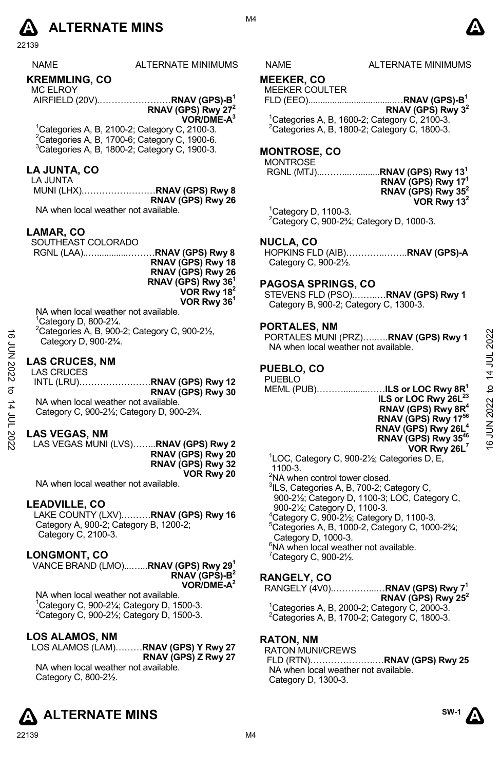# **A** ALTERNATE MINS  $\bullet$

22139

|--|--|--|

ALTERNATE MINIMUMS NAME ALTERNATE MINIMUMS

#### **KREMMLING, CO**

MC ELROY AIRFIELD (20V).……………………**RNAV (GPS)-B1** 

**RNAV (GPS) Rwy 272 VOR/DME-A3** 

1 Categories A, B, 2100-2; Category C, 2100-3.  $2$ Categories A, B, 1700-6; Category C, 1900-6. 3 Categories A, B, 1800-2; Category C, 1900-3.

#### **LA JUNTA, CO**

LA JUNTA MUNI (LHX).……………………**RNAV (GPS) Rwy 8 RNAV (GPS) Rwy 26** 

NA when local weather not available.

#### **LAMAR, CO**

SOUTHEAST COLORADO

 RGNL (LAA)..….............………**RNAV (GPS) Rwy 8 RNAV (GPS) Rwy 18 RNAV (GPS) Rwy 26 RNAV (GPS) Rwy 361**

**VOR Rwy 182 VOR Rwy 361**

NA when local weather not available. 1 Category D, 800-2¼. 2 Categories A, B, 900-2; Category C, 900-2½, Category D, 900-2¾.

#### **LAS CRUCES, NM**

#### **LAS VEGAS, NM**

LAS VEGAS MUNI (LVS)……..**RNAV (GPS) Rwy 2 RNAV (GPS) Rwy 20 RNAV (GPS) Rwy 32 VOR Rwy 20** 

NA when local weather not available.

#### **LEADVILLE, CO**

LAKE COUNTY (LXV).………**RNAV (GPS) Rwy 16** Category A, 900-2; Category B, 1200-2; Category C, 2100-3.

#### **LONGMONT, CO**

VANCE BRAND (LMO)...…...**RNAV (GPS) Rwy 291 RNAV (GPS)-B2 VOR/DME-A2** 

NA when local weather not available. <sup>1</sup>Category C, 900-2¼; Category D, 1500-3.<br><sup>2</sup>Category C, 900-2½; Category D, 1500-3.

#### **LOS ALAMOS, NM**

LOS ALAMOS (LAM)………**RNAV (GPS) Y Rwy 27 RNAV (GPS) Z Rwy 27**  NA when local weather not available. Category C, 800-2½.



# **MEEKER, CO**

MEEKER COULTER

FLD (EEO)....................................…**RNAV (GPS)-B1 RNAV (GPS) Rwy 32** 

 $1$ Categories A, B, 1600-2; Category C, 2100-3. 2 Categories A, B, 1800-2; Category C, 1800-3.

## **MONTROSE, CO**

**MONTROSE** 

**RGNL (MTJ)......................** 

| RNAV (GPS) Rwy 13 <sup>1</sup> |               |  |
|--------------------------------|---------------|--|
| RNAV (GPS) Rwy 17 <sup>1</sup> |               |  |
| RNAV (GPS) Rwy $352$           |               |  |
|                                | VOR Rwy $132$ |  |

 $1$ Category D, 1100-3.  $2$ Category C, 900-2 $\frac{2}{4}$ ; Category D, 1000-3.

#### **NUCLA, CO**

HOPKINS FLD (AIB)………….……..**RNAV (GPS)-A**  Category C,  $900-2\frac{1}{2}$ .

#### **PAGOSA SPRINGS, CO**

STEVENS FLD (PSO).……..…**RNAV (GPS) Rwy 1** Category B, 900-2; Category C, 1300-3.

#### **PORTALES, NM**

#### **PUEBLO, CO**

| ಹೆ<br>ξ<br>Σ        | "Categories A, B, 900-2; Category C, 900-21/ <sub>2</sub> ,<br>Category D, 900-2 <sup>3</sup> / <sub>4</sub> .                                                      | PORTALES MUNI (PRZ)RNAV (GPS) Rwy 1<br>NA when local weather not available.                                                                                                      | 2022                             |
|---------------------|---------------------------------------------------------------------------------------------------------------------------------------------------------------------|----------------------------------------------------------------------------------------------------------------------------------------------------------------------------------|----------------------------------|
| 2022<br>ನ<br>4<br>≒ | <b>LAS CRUCES, NM</b><br><b>LAS CRUCES</b><br>RNAV (GPS) Rwy 30<br>NA when local weather not available.<br>Category C, 900-21/ <sub>2</sub> ; Category D, 900-23/4. | PUEBLO, CO<br><b>PUEBLO</b><br>MEML (PUB)ILS or LOC Rwy 8R <sup>1</sup><br>ILS or LOC Rwy 26L <sup>23</sup><br>RNAV (GPS) Rwy 8R <sup>4</sup><br>RNAV (GPS) Rwy 17 <sup>56</sup> | 4<br>$\mathsf{D}$<br>16 JUN 2022 |
| 2022                | <b>LAS VEGAS, NM</b><br>LAS VEGAS MUNI (LVS)RNAV (GPS) Rwy 2<br>RNAV (GPS) Rwy 20                                                                                   | RNAV (GPS) Rwy 26L <sup>4</sup><br>RNAV (GPS) Rwy 35 <sup>46</sup><br>VOR Rwy 26L <sup>7</sup><br>$1.0001$ $0.00001$ $0.1$ $0.55$                                                |                                  |

1 LOC, Category C, 900-2½; Categories D, E, 1100-3.

- <sup>2</sup>NA when control tower closed.
- <sup>3</sup>ILS, Categories A, B, 700-2; Category C,
- 900-2½; Category D, 1100-3; LOC, Category C, 900-2½; Category D, 1100-3.
- $4$ Category C, 900-2 $\frac{1}{2}$ ; Category D, 1100-3.
- $5$ Categories A, B, 1000-2, Category C, 1000-2 $\frac{3}{4}$ ; Category D, 1000-3.
- 6 NA when local weather not available.
- $7$ Category C, 900-2 $\frac{1}{2}$ .

### **RANGELY, CO**

RANGELY (4V0).…………...…**RNAV (GPS) Rwy 71 RNAV (GPS) Rwy 252**  <sup>1</sup> Categories A, B, 2000-2; Category C, 2000-3.  $2$ Categories A, B, 1700-2; Category C, 1800-3.

#### **RATON, NM**

RATON MUNI/CREWS FLD (RTN)………………….…**RNAV (GPS) Rwy 25** NA when local weather not available. Category D, 1300-3.



**SW-1**